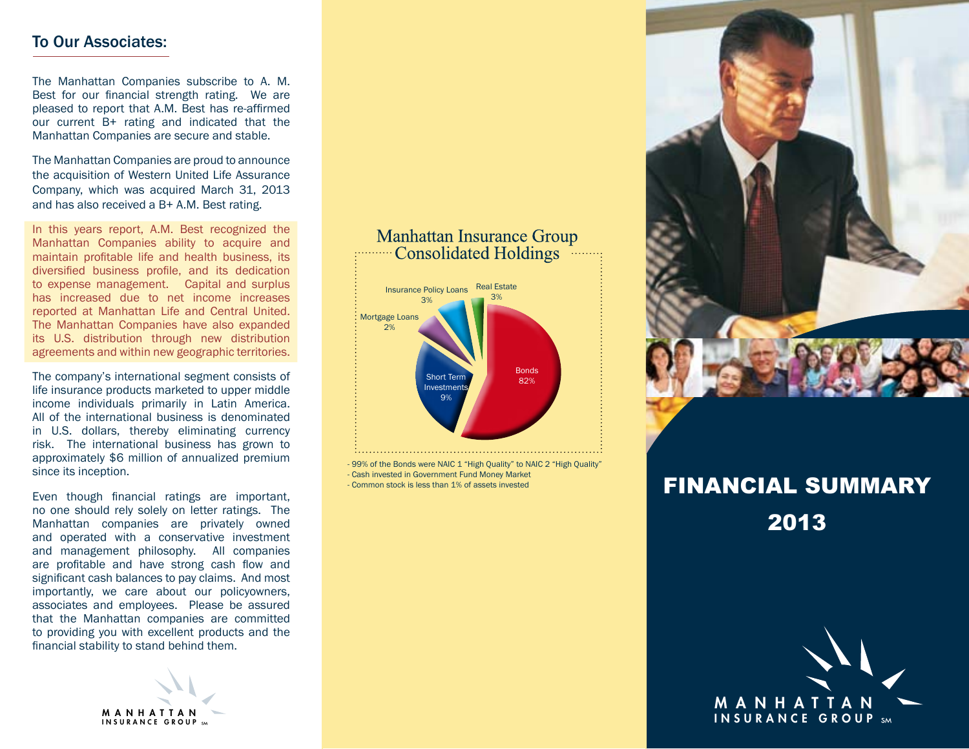## To Our Associates:

The Manhattan Companies subscribe to A. M. Best for our financial strength rating. We are pleased to report that A.M. Best has re-affirmed our current B+ rating and indicated that the Manhattan Companies are secure and stable.

The Manhattan Companies are proud to announce the acquisition of Western United Life Assurance Company, which was acquired March 31, 2013 and has also received a B+ A.M. Best rating.

In this years report, A.M. Best recognized the Manhattan Companies ability to acquire and maintain profitable life and health business, its diversified business profile, and its dedication to expense management. Capital and surplus has increased due to net income increases reported at Manhattan Life and Central United. The Manhattan Companies have also expanded its U.S. distribution through new distribution agreements and within new geographic territories.

The company's international segment consists of life insurance products marketed to upper middle income individuals primarily in Latin America. All of the international business is denominated in U.S. dollars, thereby eliminating currency risk. The international business has grown to approximately \$6 million of annualized premium since its inception.

Even though financial ratings are important, no one should rely solely on letter ratings. The Manhattan companies are privately owned and operated with a conservative investment and management philosophy. All companies are profitable and have strong cash flow and significant cash balances to pay claims. And most importantly, we care about our policyowners, associates and employees. Please be assured that the Manhattan companies are committed to providing you with excellent products and the financial stability to stand behind them.

> MANHATTAN INSURANCE GROUP

## **Manhattan Insurance Group Consolidated Holdings** Real Estate **Insurance Policy Loans** 3% Mortgage Loans 2% Bonds Short Term 82% **Investments** 9%

99% of the Bonds were NAIC 1 "High Quality" to NAIC 2 "High Quality" - Cash invested in Government Fund Money Market - Common stock is less than 1% of assets invested



2013